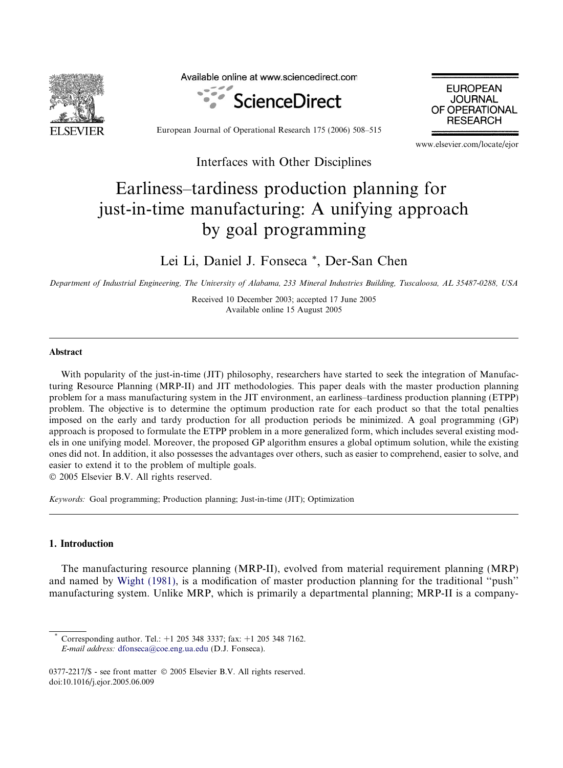

Available online at www.sciencedirect.com





European Journal of Operational Research 175 (2006) 508–515

Interfaces with Other Disciplines

www.elsevier.com/locate/ejor

## Earliness–tardiness production planning for just-in-time manufacturing: A unifying approach by goal programming

Lei Li, Daniel J. Fonseca \*, Der-San Chen

Department of Industrial Engineering, The University of Alabama, 233 Mineral Industries Building, Tuscaloosa, AL 35487-0288, USA

Received 10 December 2003; accepted 17 June 2005 Available online 15 August 2005

## Abstract

With popularity of the just-in-time (JIT) philosophy, researchers have started to seek the integration of Manufacturing Resource Planning (MRP-II) and JIT methodologies. This paper deals with the master production planning problem for a mass manufacturing system in the JIT environment, an earliness–tardiness production planning (ETPP) problem. The objective is to determine the optimum production rate for each product so that the total penalties imposed on the early and tardy production for all production periods be minimized. A goal programming (GP) approach is proposed to formulate the ETPP problem in a more generalized form, which includes several existing models in one unifying model. Moreover, the proposed GP algorithm ensures a global optimum solution, while the existing ones did not. In addition, it also possesses the advantages over others, such as easier to comprehend, easier to solve, and easier to extend it to the problem of multiple goals.

© 2005 Elsevier B.V. All rights reserved.

Keywords: Goal programming; Production planning; Just-in-time (JIT); Optimization

## 1. Introduction

The manufacturing resource planning (MRP-II), evolved from material requirement planning (MRP) and named by [Wight \(1981\),](#page--1-0) is a modification of master production planning for the traditional ''push'' manufacturing system. Unlike MRP, which is primarily a departmental planning; MRP-II is a company-

Corresponding author. Tel.: +1 205 348 3337; fax: +1 205 348 7162. E-mail address: [dfonseca@coe.eng.ua.edu](mailto:dfonseca@coe.eng.ua.edu) (D.J. Fonseca).

 $0377 - 2217$ /\$ - see front matter  $\odot$  2005 Elsevier B.V. All rights reserved. doi:10.1016/j.ejor.2005.06.009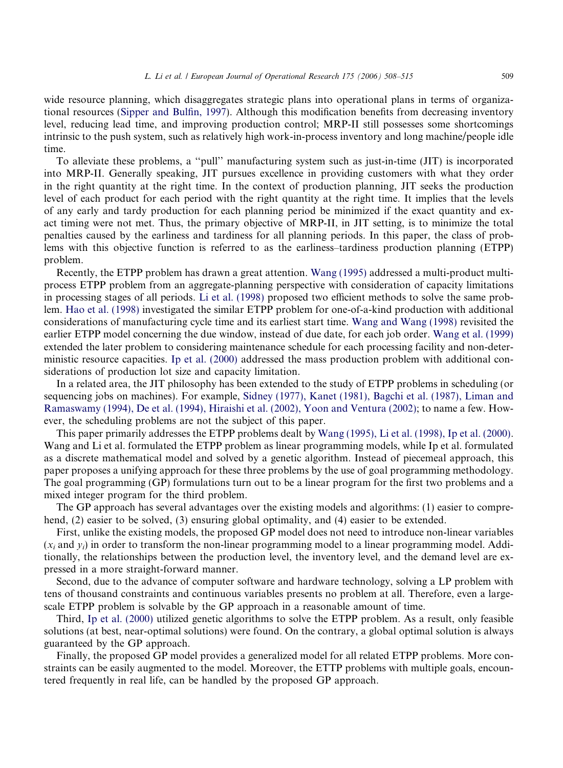wide resource planning, which disaggregates strategic plans into operational plans in terms of organizational resources ([Sipper and Bulfin, 1997\)](#page--1-0). Although this modification benefits from decreasing inventory level, reducing lead time, and improving production control; MRP-II still possesses some shortcomings intrinsic to the push system, such as relatively high work-in-process inventory and long machine/people idle time.

To alleviate these problems, a ''pull'' manufacturing system such as just-in-time (JIT) is incorporated into MRP-II. Generally speaking, JIT pursues excellence in providing customers with what they order in the right quantity at the right time. In the context of production planning, JIT seeks the production level of each product for each period with the right quantity at the right time. It implies that the levels of any early and tardy production for each planning period be minimized if the exact quantity and exact timing were not met. Thus, the primary objective of MRP-II, in JIT setting, is to minimize the total penalties caused by the earliness and tardiness for all planning periods. In this paper, the class of problems with this objective function is referred to as the earliness–tardiness production planning (ETPP) problem.

Recently, the ETPP problem has drawn a great attention. [Wang \(1995\)](#page--1-0) addressed a multi-product multiprocess ETPP problem from an aggregate-planning perspective with consideration of capacity limitations in processing stages of all periods. [Li et al. \(1998\)](#page--1-0) proposed two efficient methods to solve the same problem. [Hao et al. \(1998\)](#page--1-0) investigated the similar ETPP problem for one-of-a-kind production with additional considerations of manufacturing cycle time and its earliest start time. [Wang and Wang \(1998\)](#page--1-0) revisited the earlier ETPP model concerning the due window, instead of due date, for each job order. [Wang et al. \(1999\)](#page--1-0) extended the later problem to considering maintenance schedule for each processing facility and non-deterministic resource capacities. [Ip et al. \(2000\)](#page--1-0) addressed the mass production problem with additional considerations of production lot size and capacity limitation.

In a related area, the JIT philosophy has been extended to the study of ETPP problems in scheduling (or sequencing jobs on machines). For example, [Sidney \(1977\), Kanet \(1981\), Bagchi et al. \(1987\), Liman and](#page--1-0) [Ramaswamy \(1994\), De et al. \(1994\), Hiraishi et al. \(2002\), Yoon and Ventura \(2002\);](#page--1-0) to name a few. However, the scheduling problems are not the subject of this paper.

This paper primarily addresses the ETPP problems dealt by [Wang \(1995\), Li et al. \(1998\), Ip et al. \(2000\)](#page--1-0). Wang and Li et al. formulated the ETPP problem as linear programming models, while Ip et al. formulated as a discrete mathematical model and solved by a genetic algorithm. Instead of piecemeal approach, this paper proposes a unifying approach for these three problems by the use of goal programming methodology. The goal programming (GP) formulations turn out to be a linear program for the first two problems and a mixed integer program for the third problem.

The GP approach has several advantages over the existing models and algorithms: (1) easier to comprehend, (2) easier to be solved, (3) ensuring global optimality, and (4) easier to be extended.

First, unlike the existing models, the proposed GP model does not need to introduce non-linear variables  $(x_i$  and  $y_i$ ) in order to transform the non-linear programming model to a linear programming model. Additionally, the relationships between the production level, the inventory level, and the demand level are expressed in a more straight-forward manner.

Second, due to the advance of computer software and hardware technology, solving a LP problem with tens of thousand constraints and continuous variables presents no problem at all. Therefore, even a largescale ETPP problem is solvable by the GP approach in a reasonable amount of time.

Third, [Ip et al. \(2000\)](#page--1-0) utilized genetic algorithms to solve the ETPP problem. As a result, only feasible solutions (at best, near-optimal solutions) were found. On the contrary, a global optimal solution is always guaranteed by the GP approach.

Finally, the proposed GP model provides a generalized model for all related ETPP problems. More constraints can be easily augmented to the model. Moreover, the ETTP problems with multiple goals, encountered frequently in real life, can be handled by the proposed GP approach.